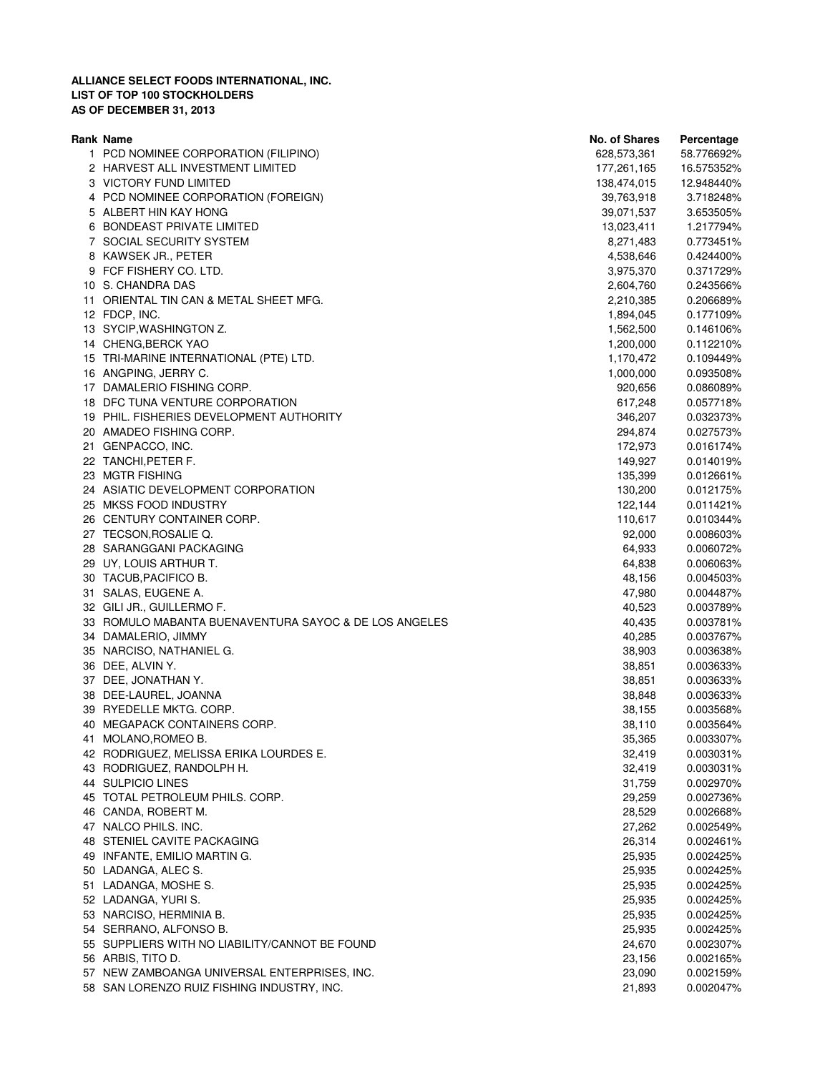| Rank Name                                             | No. of Shares | Percentage |
|-------------------------------------------------------|---------------|------------|
| 1 PCD NOMINEE CORPORATION (FILIPINO)                  | 628,573,361   | 58.776692% |
| 2 HARVEST ALL INVESTMENT LIMITED                      | 177,261,165   | 16.575352% |
| 3 VICTORY FUND LIMITED                                | 138,474,015   | 12.948440% |
| 4 PCD NOMINEE CORPORATION (FOREIGN)                   | 39,763,918    | 3.718248%  |
| 5 ALBERT HIN KAY HONG                                 | 39,071,537    | 3.653505%  |
| 6 BONDEAST PRIVATE LIMITED                            | 13,023,411    | 1.217794%  |
| 7 SOCIAL SECURITY SYSTEM                              | 8,271,483     | 0.773451%  |
| 8 KAWSEK JR., PETER                                   | 4,538,646     | 0.424400%  |
| 9 FCF FISHERY CO. LTD.                                | 3,975,370     | 0.371729%  |
| 10 S. CHANDRA DAS                                     | 2,604,760     | 0.243566%  |
| 11 ORIENTAL TIN CAN & METAL SHEET MFG.                | 2,210,385     | 0.206689%  |
| 12 FDCP, INC.                                         | 1,894,045     | 0.177109%  |
| 13 SYCIP, WASHINGTON Z.                               | 1,562,500     | 0.146106%  |
| 14 CHENG, BERCK YAO                                   | 1,200,000     | 0.112210%  |
| 15 TRI-MARINE INTERNATIONAL (PTE) LTD.                | 1,170,472     | 0.109449%  |
| 16 ANGPING, JERRY C.                                  | 1,000,000     | 0.093508%  |
| 17 DAMALERIO FISHING CORP.                            | 920,656       | 0.086089%  |
| 18 DFC TUNA VENTURE CORPORATION                       | 617,248       | 0.057718%  |
| 19 PHIL. FISHERIES DEVELOPMENT AUTHORITY              | 346,207       | 0.032373%  |
|                                                       |               |            |
| 20 AMADEO FISHING CORP.                               | 294,874       | 0.027573%  |
| 21 GENPACCO, INC.                                     | 172,973       | 0.016174%  |
| 22 TANCHI, PETER F.                                   | 149,927       | 0.014019%  |
| 23 MGTR FISHING                                       | 135,399       | 0.012661%  |
| 24 ASIATIC DEVELOPMENT CORPORATION                    | 130,200       | 0.012175%  |
| 25 MKSS FOOD INDUSTRY                                 | 122,144       | 0.011421%  |
| 26 CENTURY CONTAINER CORP.                            | 110,617       | 0.010344%  |
| 27 TECSON, ROSALIE Q.                                 | 92,000        | 0.008603%  |
| 28 SARANGGANI PACKAGING                               | 64,933        | 0.006072%  |
| 29 UY, LOUIS ARTHUR T.                                | 64,838        | 0.006063%  |
| 30 TACUB, PACIFICO B.                                 | 48,156        | 0.004503%  |
| 31 SALAS, EUGENE A.                                   | 47,980        | 0.004487%  |
| 32 GILI JR., GUILLERMO F.                             | 40,523        | 0.003789%  |
| 33 ROMULO MABANTA BUENAVENTURA SAYOC & DE LOS ANGELES | 40,435        | 0.003781%  |
| 34 DAMALERIO, JIMMY                                   | 40,285        | 0.003767%  |
| 35 NARCISO, NATHANIEL G.                              | 38,903        | 0.003638%  |
| 36 DEE, ALVIN Y.                                      | 38,851        | 0.003633%  |
| 37 DEE, JONATHAN Y.                                   | 38,851        | 0.003633%  |
| 38 DEE-LAUREL, JOANNA                                 | 38,848        | 0.003633%  |
| 39 RYEDELLE MKTG. CORP.                               | 38,155        | 0.003568%  |
| 40 MEGAPACK CONTAINERS CORP.                          | 38,110        | 0.003564%  |
| 41 MOLANO, ROMEO B.                                   | 35,365        | 0.003307%  |
| 42 RODRIGUEZ, MELISSA ERIKA LOURDES E.                | 32,419        | 0.003031%  |
| 43 RODRIGUEZ, RANDOLPH H.                             | 32,419        | 0.003031%  |
| 44 SULPICIO LINES                                     | 31,759        | 0.002970%  |
| 45 TOTAL PETROLEUM PHILS. CORP.                       | 29,259        | 0.002736%  |
| 46 CANDA, ROBERT M.                                   | 28,529        | 0.002668%  |
| 47 NALCO PHILS. INC.                                  | 27,262        | 0.002549%  |
| 48 STENIEL CAVITE PACKAGING                           | 26,314        | 0.002461%  |
| 49 INFANTE, EMILIO MARTIN G.                          | 25,935        | 0.002425%  |
| 50 LADANGA, ALEC S.                                   | 25,935        | 0.002425%  |
| 51 LADANGA, MOSHE S.                                  | 25,935        | 0.002425%  |
| 52 LADANGA, YURI S.                                   | 25,935        | 0.002425%  |
| 53 NARCISO, HERMINIA B.                               | 25,935        | 0.002425%  |
| 54 SERRANO, ALFONSO B.                                | 25,935        | 0.002425%  |
| 55 SUPPLIERS WITH NO LIABILITY/CANNOT BE FOUND        | 24,670        | 0.002307%  |
| 56 ARBIS, TITO D.                                     | 23,156        | 0.002165%  |
| 57 NEW ZAMBOANGA UNIVERSAL ENTERPRISES, INC.          | 23,090        | 0.002159%  |
| 58 SAN LORENZO RUIZ FISHING INDUSTRY, INC.            | 21,893        | 0.002047%  |
|                                                       |               |            |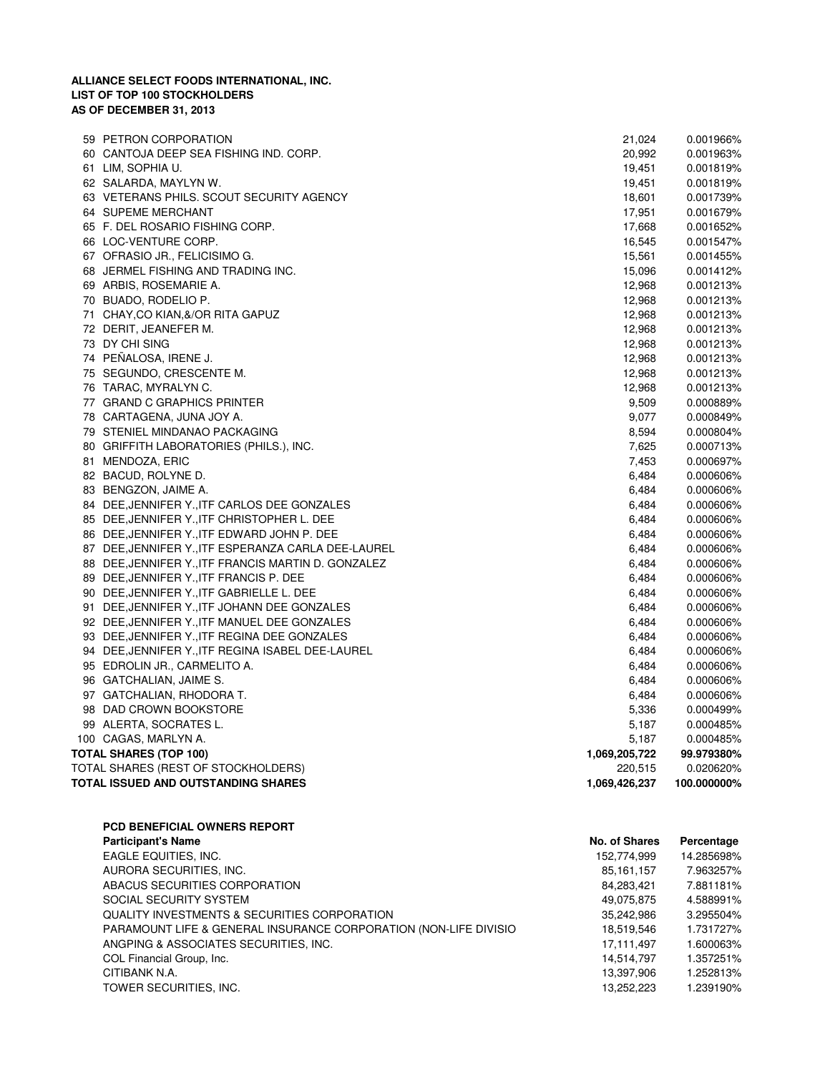| 59 PETRON CORPORATION                               | 21,024        | 0.001966%   |
|-----------------------------------------------------|---------------|-------------|
| 60 CANTOJA DEEP SEA FISHING IND. CORP.              | 20,992        | 0.001963%   |
| 61 LIM, SOPHIA U.                                   | 19,451        | 0.001819%   |
| 62 SALARDA, MAYLYN W.                               | 19,451        | 0.001819%   |
| 63 VETERANS PHILS. SCOUT SECURITY AGENCY            | 18,601        | 0.001739%   |
| 64 SUPEME MERCHANT                                  | 17,951        | 0.001679%   |
| 65 F. DEL ROSARIO FISHING CORP.                     | 17,668        | 0.001652%   |
| 66 LOC-VENTURE CORP.                                | 16,545        | 0.001547%   |
| 67 OFRASIO JR., FELICISIMO G.                       | 15,561        | 0.001455%   |
| 68 JERMEL FISHING AND TRADING INC.                  | 15,096        | 0.001412%   |
| 69 ARBIS, ROSEMARIE A.                              | 12,968        | 0.001213%   |
| 70 BUADO, RODELIO P.                                | 12,968        | 0.001213%   |
| 71 CHAY, CO KIAN, & / OR RITA GAPUZ                 | 12,968        | 0.001213%   |
| 72 DERIT, JEANEFER M.                               | 12,968        | 0.001213%   |
| 73 DY CHI SING                                      | 12,968        | 0.001213%   |
| 74 PEÑALOSA, IRENE J.                               | 12,968        | 0.001213%   |
| 75 SEGUNDO, CRESCENTE M.                            | 12,968        | 0.001213%   |
| 76 TARAC, MYRALYN C.                                | 12,968        | 0.001213%   |
| 77 GRAND C GRAPHICS PRINTER                         | 9,509         | 0.000889%   |
| 78 CARTAGENA, JUNA JOY A.                           | 9,077         | 0.000849%   |
| 79 STENIEL MINDANAO PACKAGING                       | 8,594         | 0.000804%   |
| 80 GRIFFITH LABORATORIES (PHILS.), INC.             | 7,625         | 0.000713%   |
| 81 MENDOZA, ERIC                                    | 7,453         | 0.000697%   |
| 82 BACUD, ROLYNE D.                                 | 6,484         | 0.000606%   |
| 83 BENGZON, JAIME A.                                | 6,484         | 0.000606%   |
| 84 DEE, JENNIFER Y., ITF CARLOS DEE GONZALES        | 6,484         | 0.000606%   |
| 85 DEE, JENNIFER Y., ITF CHRISTOPHER L. DEE         | 6,484         | 0.000606%   |
| 86 DEE, JENNIFER Y., ITF EDWARD JOHN P. DEE         | 6,484         | 0.000606%   |
| 87 DEE, JENNIFER Y., ITF ESPERANZA CARLA DEE-LAUREL | 6,484         | 0.000606%   |
| 88 DEE, JENNIFER Y., ITF FRANCIS MARTIN D. GONZALEZ | 6,484         | 0.000606%   |
| 89 DEE, JENNIFER Y., ITF FRANCIS P. DEE             | 6,484         | 0.000606%   |
| 90 DEE, JENNIFER Y., ITF GABRIELLE L. DEE           | 6,484         | 0.000606%   |
| 91 DEE, JENNIFER Y., ITF JOHANN DEE GONZALES        | 6,484         | 0.000606%   |
| 92 DEE, JENNIFER Y., ITF MANUEL DEE GONZALES        | 6,484         | 0.000606%   |
| 93 DEE, JENNIFER Y., ITF REGINA DEE GONZALES        | 6,484         | 0.000606%   |
| 94 DEE, JENNIFER Y., ITF REGINA ISABEL DEE-LAUREL   | 6,484         | 0.000606%   |
| 95 EDROLIN JR., CARMELITO A.                        | 6,484         | 0.000606%   |
| 96 GATCHALIAN, JAIME S.                             | 6,484         | 0.000606%   |
| 97 GATCHALIAN, RHODORA T.                           | 6,484         | 0.000606%   |
| 98 DAD CROWN BOOKSTORE                              | 5,336         | 0.000499%   |
| 99 ALERTA, SOCRATES L.                              | 5,187         | 0.000485%   |
| 100 CAGAS, MARLYN A.                                | 5,187         | 0.000485%   |
| <b>TOTAL SHARES (TOP 100)</b>                       | 1,069,205,722 | 99.979380%  |
| TOTAL SHARES (REST OF STOCKHOLDERS)                 | 220,515       | 0.020620%   |
| TOTAL ISSUED AND OUTSTANDING SHARES                 | 1,069,426,237 | 100.000000% |
|                                                     |               |             |

| <b>PCD BENEFICIAL OWNERS REPORT</b>                              |               |            |
|------------------------------------------------------------------|---------------|------------|
| <b>Participant's Name</b>                                        | No. of Shares | Percentage |
| EAGLE EQUITIES, INC.                                             | 152,774,999   | 14.285698% |
| AURORA SECURITIES, INC.                                          | 85.161.157    | 7.963257%  |
| ABACUS SECURITIES CORPORATION                                    | 84,283,421    | 7.881181%  |
| SOCIAL SECURITY SYSTEM                                           | 49,075,875    | 4.588991%  |
| <b>QUALITY INVESTMENTS &amp; SECURITIES CORPORATION</b>          | 35,242,986    | 3.295504%  |
| PARAMOUNT LIFE & GENERAL INSURANCE CORPORATION (NON-LIFE DIVISIO | 18,519,546    | 1.731727%  |
| ANGPING & ASSOCIATES SECURITIES, INC.                            | 17.111.497    | 1.600063%  |
| COL Financial Group, Inc.                                        | 14,514,797    | 1.357251%  |
| CITIBANK N.A.                                                    | 13,397,906    | 1.252813%  |
| TOWER SECURITIES, INC.                                           | 13.252.223    | 1.239190%  |
|                                                                  |               |            |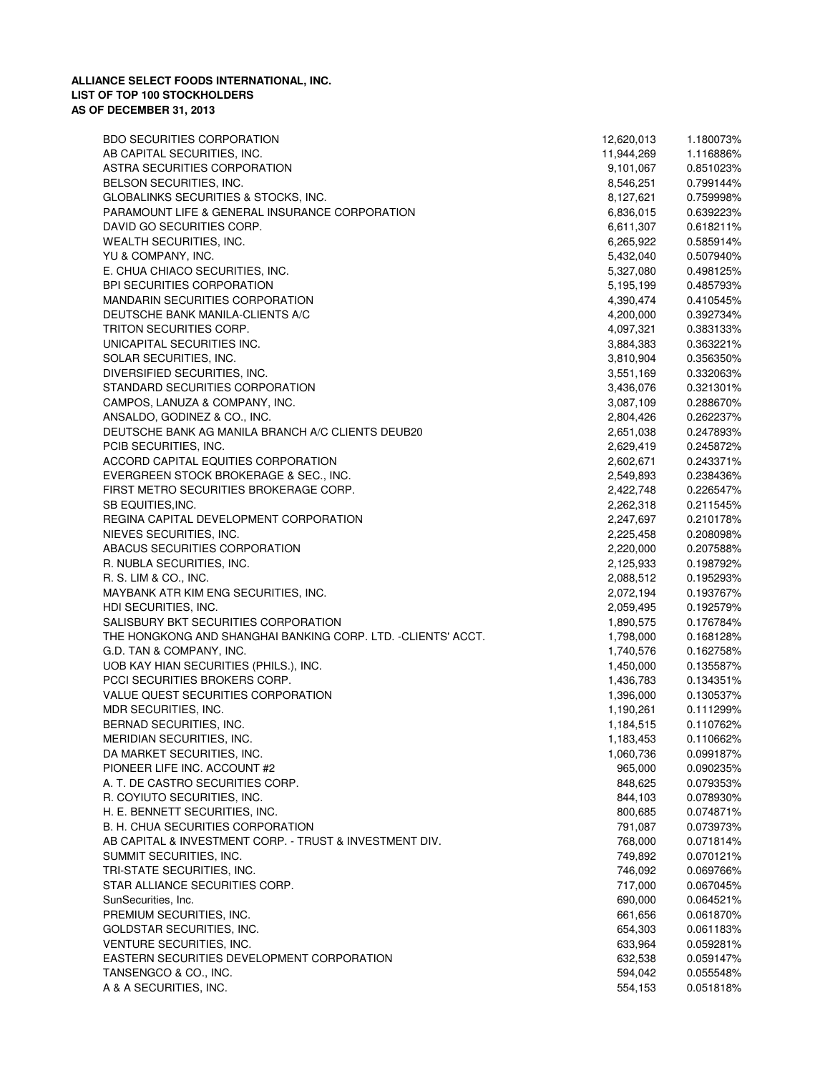| <b>BDO SECURITIES CORPORATION</b>                            | 12,620,013 | 1.180073% |
|--------------------------------------------------------------|------------|-----------|
| AB CAPITAL SECURITIES, INC.                                  | 11,944,269 | 1.116886% |
| ASTRA SECURITIES CORPORATION                                 | 9,101,067  | 0.851023% |
| BELSON SECURITIES, INC.                                      | 8,546,251  | 0.799144% |
| GLOBALINKS SECURITIES & STOCKS, INC.                         | 8,127,621  | 0.759998% |
| PARAMOUNT LIFE & GENERAL INSURANCE CORPORATION               | 6,836,015  | 0.639223% |
| DAVID GO SECURITIES CORP.                                    | 6,611,307  | 0.618211% |
| WEALTH SECURITIES, INC.                                      | 6,265,922  | 0.585914% |
| YU & COMPANY, INC.                                           | 5,432,040  | 0.507940% |
| E. CHUA CHIACO SECURITIES, INC.                              | 5,327,080  | 0.498125% |
| <b>BPI SECURITIES CORPORATION</b>                            | 5,195,199  | 0.485793% |
| <b>MANDARIN SECURITIES CORPORATION</b>                       | 4,390,474  | 0.410545% |
| DEUTSCHE BANK MANILA-CLIENTS A/C                             | 4,200,000  | 0.392734% |
| TRITON SECURITIES CORP.                                      | 4,097,321  | 0.383133% |
| UNICAPITAL SECURITIES INC.                                   | 3,884,383  | 0.363221% |
| SOLAR SECURITIES, INC.                                       | 3,810,904  | 0.356350% |
|                                                              |            |           |
| DIVERSIFIED SECURITIES, INC.                                 | 3,551,169  | 0.332063% |
| STANDARD SECURITIES CORPORATION                              | 3,436,076  | 0.321301% |
| CAMPOS, LANUZA & COMPANY, INC.                               | 3,087,109  | 0.288670% |
| ANSALDO, GODINEZ & CO., INC.                                 | 2,804,426  | 0.262237% |
| DEUTSCHE BANK AG MANILA BRANCH A/C CLIENTS DEUB20            | 2,651,038  | 0.247893% |
| PCIB SECURITIES, INC.                                        | 2,629,419  | 0.245872% |
| ACCORD CAPITAL EQUITIES CORPORATION                          | 2,602,671  | 0.243371% |
| EVERGREEN STOCK BROKERAGE & SEC., INC.                       | 2,549,893  | 0.238436% |
| FIRST METRO SECURITIES BROKERAGE CORP.                       | 2,422,748  | 0.226547% |
| SB EQUITIES, INC.                                            | 2,262,318  | 0.211545% |
| REGINA CAPITAL DEVELOPMENT CORPORATION                       | 2,247,697  | 0.210178% |
| NIEVES SECURITIES, INC.                                      | 2,225,458  | 0.208098% |
| ABACUS SECURITIES CORPORATION                                | 2,220,000  | 0.207588% |
| R. NUBLA SECURITIES, INC.                                    | 2,125,933  | 0.198792% |
| R. S. LIM & CO., INC.                                        | 2,088,512  | 0.195293% |
| MAYBANK ATR KIM ENG SECURITIES, INC.                         | 2,072,194  | 0.193767% |
| HDI SECURITIES, INC.                                         | 2,059,495  | 0.192579% |
| SALISBURY BKT SECURITIES CORPORATION                         | 1,890,575  | 0.176784% |
| THE HONGKONG AND SHANGHAI BANKING CORP. LTD. -CLIENTS' ACCT. | 1,798,000  | 0.168128% |
| G.D. TAN & COMPANY, INC.                                     | 1,740,576  | 0.162758% |
| UOB KAY HIAN SECURITIES (PHILS.), INC.                       | 1,450,000  | 0.135587% |
| PCCI SECURITIES BROKERS CORP.                                | 1,436,783  | 0.134351% |
| VALUE QUEST SECURITIES CORPORATION                           | 1,396,000  | 0.130537% |
| MDR SECURITIES, INC.                                         | 1,190,261  | 0.111299% |
| BERNAD SECURITIES, INC.                                      |            | 0.110762% |
|                                                              | 1,184,515  |           |
| MERIDIAN SECURITIES, INC.                                    | 1,183,453  | 0.110662% |
| DA MARKET SECURITIES, INC.                                   | 1,060,736  | 0.099187% |
| PIONEER LIFE INC. ACCOUNT #2                                 | 965,000    | 0.090235% |
| A. T. DE CASTRO SECURITIES CORP.                             | 848,625    | 0.079353% |
| R. COYIUTO SECURITIES, INC.                                  | 844,103    | 0.078930% |
| H. E. BENNETT SECURITIES, INC.                               | 800,685    | 0.074871% |
| B. H. CHUA SECURITIES CORPORATION                            | 791,087    | 0.073973% |
| AB CAPITAL & INVESTMENT CORP. - TRUST & INVESTMENT DIV.      | 768,000    | 0.071814% |
| SUMMIT SECURITIES, INC.                                      | 749,892    | 0.070121% |
| TRI-STATE SECURITIES, INC.                                   | 746,092    | 0.069766% |
| STAR ALLIANCE SECURITIES CORP.                               | 717,000    | 0.067045% |
| SunSecurities, Inc.                                          | 690,000    | 0.064521% |
| PREMIUM SECURITIES, INC.                                     | 661,656    | 0.061870% |
| GOLDSTAR SECURITIES, INC.                                    | 654,303    | 0.061183% |
| VENTURE SECURITIES, INC.                                     | 633,964    | 0.059281% |
| EASTERN SECURITIES DEVELOPMENT CORPORATION                   | 632,538    | 0.059147% |
| TANSENGCO & CO., INC.                                        | 594,042    | 0.055548% |
| A & A SECURITIES, INC.                                       | 554,153    | 0.051818% |
|                                                              |            |           |